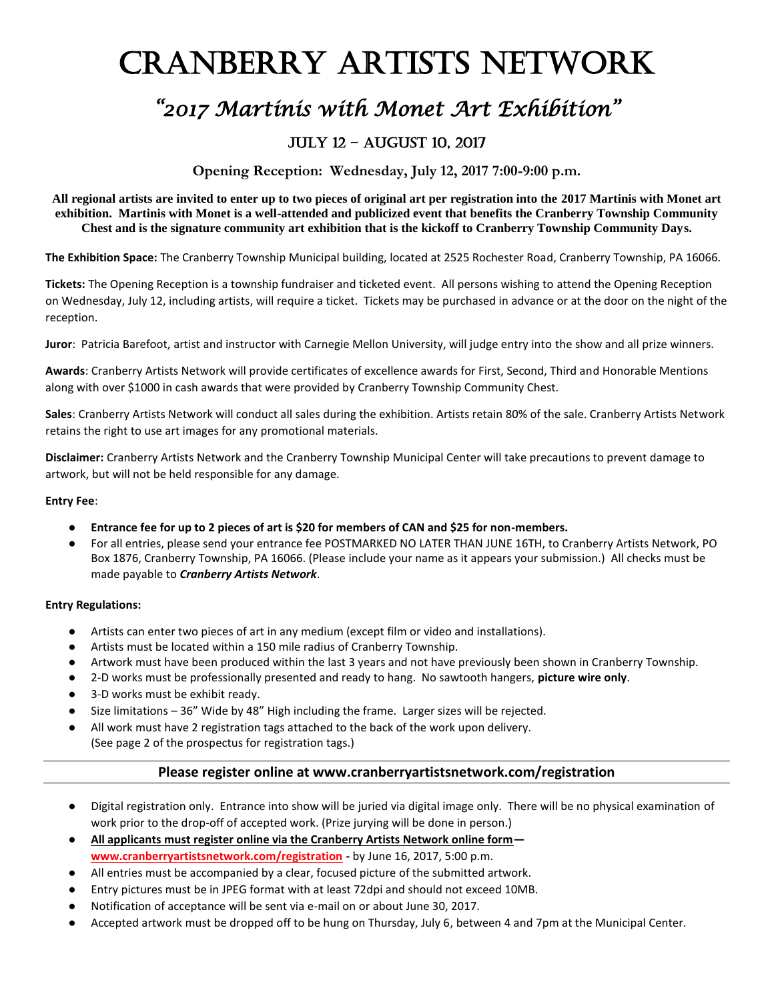# Cranberry Artists Network

## *"2017 Martinis with Monet Art Exhibition"*

### July 12 – August 10, 2017

**Opening Reception: Wednesday, July 12, 2017 7:00-9:00 p.m.**

**All regional artists are invited to enter up to two pieces of original art per registration into the 2017 Martinis with Monet art exhibition. Martinis with Monet is a well-attended and publicized event that benefits the Cranberry Township Community Chest and is the signature community art exhibition that is the kickoff to Cranberry Township Community Days.**

**The Exhibition Space:** The Cranberry Township Municipal building, located at 2525 Rochester Road, Cranberry Township, PA 16066.

**Tickets:** The Opening Reception is a township fundraiser and ticketed event. All persons wishing to attend the Opening Reception on Wednesday, July 12, including artists, will require a ticket. Tickets may be purchased in advance or at the door on the night of the reception.

**Juror**: Patricia Barefoot, artist and instructor with Carnegie Mellon University, will judge entry into the show and all prize winners.

**Awards**: Cranberry Artists Network will provide certificates of excellence awards for First, Second, Third and Honorable Mentions along with over \$1000 in cash awards that were provided by Cranberry Township Community Chest.

**Sales**: Cranberry Artists Network will conduct all sales during the exhibition. Artists retain 80% of the sale. Cranberry Artists Network retains the right to use art images for any promotional materials.

**Disclaimer:** Cranberry Artists Network and the Cranberry Township Municipal Center will take precautions to prevent damage to artwork, but will not be held responsible for any damage.

#### **Entry Fee**:

- **Entrance fee for up to 2 pieces of art is \$20 for members of CAN and \$25 for non-members.**
- For all entries, please send your entrance fee POSTMARKED NO LATER THAN JUNE 16TH, to Cranberry Artists Network, PO Box 1876, Cranberry Township, PA 16066. (Please include your name as it appears your submission.) All checks must be made payable to *Cranberry Artists Network*.

#### **Entry Regulations:**

- Artists can enter two pieces of art in any medium (except film or video and installations).
- Artists must be located within a 150 mile radius of Cranberry Township.
- Artwork must have been produced within the last 3 years and not have previously been shown in Cranberry Township.
- 2-D works must be professionally presented and ready to hang. No sawtooth hangers, **picture wire only**.
- 3-D works must be exhibit ready.
- Size limitations 36" Wide by 48" High including the frame. Larger sizes will be rejected.
- All work must have 2 registration tags attached to the back of the work upon delivery.
	- (See page 2 of the prospectus for registration tags.)

#### **Please register online at www.cranberryartistsnetwork.com/registration**

- Digital registration only. Entrance into show will be juried via digital image only. There will be no physical examination of work prior to the drop-off of accepted work. (Prize jurying will be done in person.)
- **All applicants must register online via the Cranberry Artists Network online form [www.cranberryartistsnetwork.com/registration](http://www.cranberryartistsnetwork.com/registration) -** by June 16, 2017, 5:00 p.m.
- All entries must be accompanied by a clear, focused picture of the submitted artwork.
- Entry pictures must be in JPEG format with at least 72dpi and should not exceed 10MB.
- Notification of acceptance will be sent via e-mail on or about June 30, 2017.
- Accepted artwork must be dropped off to be hung on Thursday, July 6, between 4 and 7pm at the Municipal Center.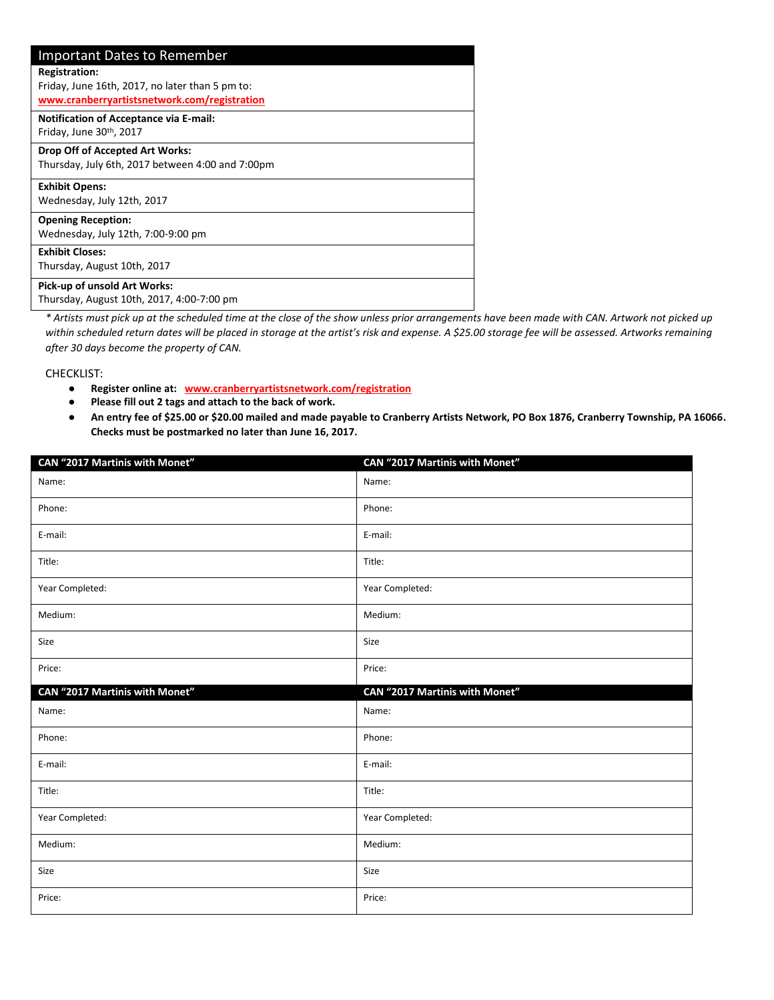| <b>Important Dates to Remember</b>                                                              |
|-------------------------------------------------------------------------------------------------|
| <b>Registration:</b>                                                                            |
| Friday, June 16th, 2017, no later than 5 pm to:<br>www.cranberryartistsnetwork.com/registration |
| <b>Notification of Acceptance via E-mail:</b><br>Friday, June 30th, 2017                        |
| Drop Off of Accepted Art Works:                                                                 |
| Thursday, July 6th, 2017 between 4:00 and 7:00pm                                                |
| <b>Exhibit Opens:</b>                                                                           |
| Wednesday, July 12th, 2017                                                                      |
| <b>Opening Reception:</b>                                                                       |
| Wednesday, July 12th, 7:00-9:00 pm                                                              |
| <b>Exhibit Closes:</b>                                                                          |
| Thursday, August 10th, 2017                                                                     |
| Pick-up of unsold Art Works:                                                                    |
| Thursday, August 10th, 2017, 4:00-7:00 pm                                                       |

*\* Artists must pick up at the scheduled time at the close of the show unless prior arrangements have been made with CAN. Artwork not picked up within scheduled return dates will be placed in storage at the artist's risk and expense. A \$25.00 storage fee will be assessed. Artworks remaining after 30 days become the property of CAN.* 

CHECKLIST:

- **Register online at: [www.cranberryartistsnetwork.com/registration](http://www.cranberryartistsnetwork.com/registration)**
- **Please fill out 2 tags and attach to the back of work.**
- **An entry fee of \$25.00 or \$20.00 mailed and made payable to Cranberry Artists Network, PO Box 1876, Cranberry Township, PA 16066. Checks must be postmarked no later than June 16, 2017.**

| CAN "2017 Martinis with Monet" | CAN "2017 Martinis with Monet" |
|--------------------------------|--------------------------------|
| Name:                          | Name:                          |
| Phone:                         | Phone:                         |
| E-mail:                        | E-mail:                        |
| Title:                         | Title:                         |
| Year Completed:                | Year Completed:                |
| Medium:                        | Medium:                        |
| Size                           | Size                           |
| Price:                         | Price:                         |
|                                |                                |
| CAN "2017 Martinis with Monet" | CAN "2017 Martinis with Monet" |
| Name:                          | Name:                          |
| Phone:                         | Phone:                         |
| E-mail:                        | E-mail:                        |
| Title:                         | Title:                         |
| Year Completed:                | Year Completed:                |
| Medium:                        | Medium:                        |
| Size                           | Size                           |